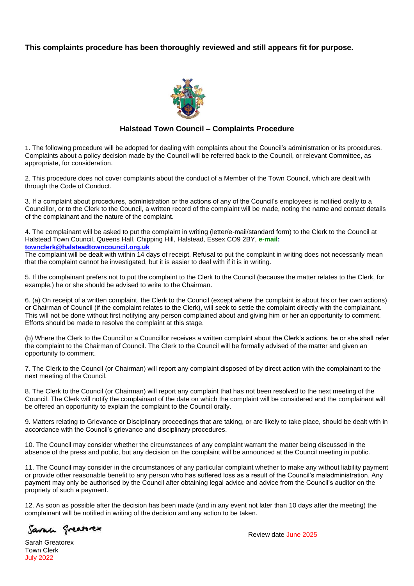## **This complaints procedure has been thoroughly reviewed and still appears fit for purpose.**



## **Halstead Town Council – Complaints Procedure**

1. The following procedure will be adopted for dealing with complaints about the Council's administration or its procedures. Complaints about a policy decision made by the Council will be referred back to the Council, or relevant Committee, as appropriate, for consideration.

2. This procedure does not cover complaints about the conduct of a Member of the Town Council, which are dealt with through the Code of Conduct.

3. If a complaint about procedures, administration or the actions of any of the Council's employees is notified orally to a Councillor, or to the Clerk to the Council, a written record of the complaint will be made, noting the name and contact details of the complainant and the nature of the complaint.

4. The complainant will be asked to put the complaint in writing (letter/e-mail/standard form) to the Clerk to the Council at Halstead Town Council, Queens Hall, Chipping Hill, Halstead, Essex CO9 2BY, **e-mail: [townclerk@halsteadtowncouncil.org.uk](mailto:townclerk@halsteadtowncouncil.org.uk)**

The complaint will be dealt with within 14 days of receipt. Refusal to put the complaint in writing does not necessarily mean that the complaint cannot be investigated, but it is easier to deal with if it is in writing.

5. If the complainant prefers not to put the complaint to the Clerk to the Council (because the matter relates to the Clerk, for example,) he or she should be advised to write to the Chairman.

6. (a) On receipt of a written complaint, the Clerk to the Council (except where the complaint is about his or her own actions) or Chairman of Council (if the complaint relates to the Clerk), will seek to settle the complaint directly with the complainant. This will not be done without first notifying any person complained about and giving him or her an opportunity to comment. Efforts should be made to resolve the complaint at this stage.

(b) Where the Clerk to the Council or a Councillor receives a written complaint about the Clerk's actions, he or she shall refer the complaint to the Chairman of Council. The Clerk to the Council will be formally advised of the matter and given an opportunity to comment.

7. The Clerk to the Council (or Chairman) will report any complaint disposed of by direct action with the complainant to the next meeting of the Council.

8. The Clerk to the Council (or Chairman) will report any complaint that has not been resolved to the next meeting of the Council. The Clerk will notify the complainant of the date on which the complaint will be considered and the complainant will be offered an opportunity to explain the complaint to the Council orally.

9. Matters relating to Grievance or Disciplinary proceedings that are taking, or are likely to take place, should be dealt with in accordance with the Council's grievance and disciplinary procedures.

10. The Council may consider whether the circumstances of any complaint warrant the matter being discussed in the absence of the press and public, but any decision on the complaint will be announced at the Council meeting in public.

11. The Council may consider in the circumstances of any particular complaint whether to make any without liability payment or provide other reasonable benefit to any person who has suffered loss as a result of the Council's maladministration. Any payment may only be authorised by the Council after obtaining legal advice and advice from the Council's auditor on the propriety of such a payment.

12. As soon as possible after the decision has been made (and in any event not later than 10 days after the meeting) the complainant will be notified in writing of the decision and any action to be taken.

Savan Sveatorex

Sarah Greatorex Town Clerk July 2022

Review date June 2025